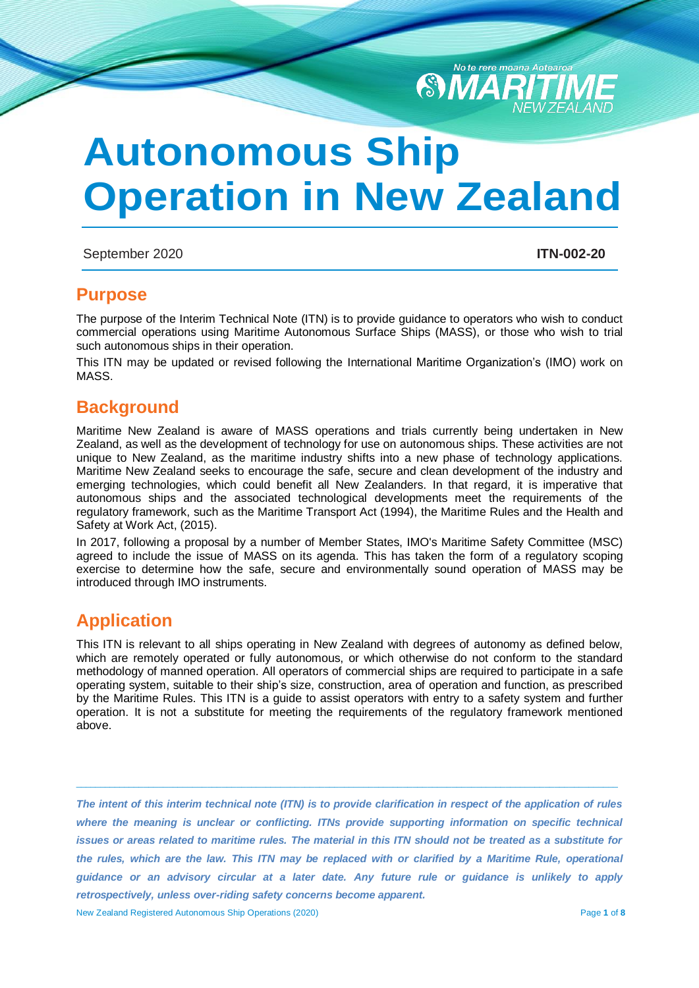

# **Autonomous Ship Operation in New Zealand**

## September 2020 **ITN-002-20**

# **Purpose**

The purpose of the Interim Technical Note (ITN) is to provide guidance to operators who wish to conduct commercial operations using Maritime Autonomous Surface Ships (MASS), or those who wish to trial such autonomous ships in their operation.

This ITN may be updated or revised following the International Maritime Organization's (IMO) work on MASS.

# **Background**

Maritime New Zealand is aware of MASS operations and trials currently being undertaken in New Zealand, as well as the development of technology for use on autonomous ships. These activities are not unique to New Zealand, as the maritime industry shifts into a new phase of technology applications. Maritime New Zealand seeks to encourage the safe, secure and clean development of the industry and emerging technologies, which could benefit all New Zealanders. In that regard, it is imperative that autonomous ships and the associated technological developments meet the requirements of the regulatory framework, such as the Maritime Transport Act (1994), the Maritime Rules and the Health and Safety at Work Act, (2015).

In 2017, following a proposal by a number of Member States, IMO's Maritime Safety Committee (MSC) agreed to include the issue of MASS on its agenda. This has taken the form of a regulatory scoping exercise to determine how the safe, secure and environmentally sound operation of MASS may be introduced through IMO instruments.

# **Application**

This ITN is relevant to all ships operating in New Zealand with degrees of autonomy as defined below, which are remotely operated or fully autonomous, or which otherwise do not conform to the standard methodology of manned operation. All operators of commercial ships are required to participate in a safe operating system, suitable to their ship's size, construction, area of operation and function, as prescribed by the Maritime Rules. This ITN is a guide to assist operators with entry to a safety system and further operation. It is not a substitute for meeting the requirements of the regulatory framework mentioned above.

*The intent of this interim technical note (ITN) is to provide clarification in respect of the application of rules where the meaning is unclear or conflicting. ITNs provide supporting information on specific technical issues or areas related to maritime rules. The material in this ITN should not be treated as a substitute for the rules, which are the law. This ITN may be replaced with or clarified by a Maritime Rule, operational guidance or an advisory circular at a later date. Any future rule or guidance is unlikely to apply retrospectively, unless over-riding safety concerns become apparent.*

 $\_$  ,  $\_$  ,  $\_$  ,  $\_$  ,  $\_$  ,  $\_$  ,  $\_$  ,  $\_$  ,  $\_$  ,  $\_$  ,  $\_$  ,  $\_$  ,  $\_$  ,  $\_$  ,  $\_$  ,  $\_$  ,  $\_$  ,  $\_$  ,  $\_$  ,  $\_$  ,  $\_$  ,  $\_$  ,  $\_$  ,  $\_$  ,  $\_$  ,  $\_$  ,  $\_$  ,  $\_$  ,  $\_$  ,  $\_$  ,  $\_$  ,  $\_$  ,  $\_$  ,  $\_$  ,  $\_$  ,  $\_$  ,  $\_$  ,

New Zealand Registered Autonomous Ship Operations (2020) Page **1** of **8**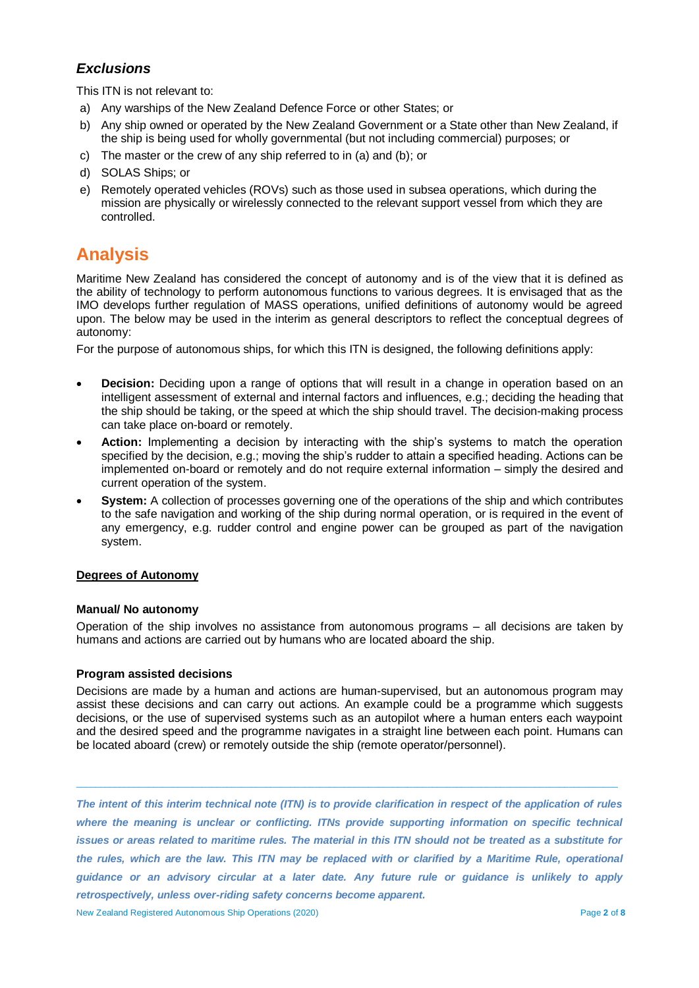# *Exclusions*

This ITN is not relevant to:

- a) Any warships of the New Zealand Defence Force or other States; or
- b) Any ship owned or operated by the New Zealand Government or a State other than New Zealand, if the ship is being used for wholly governmental (but not including commercial) purposes; or
- c) The master or the crew of any ship referred to in (a) and (b); or
- d) SOLAS Ships; or
- e) Remotely operated vehicles (ROVs) such as those used in subsea operations, which during the mission are physically or wirelessly connected to the relevant support vessel from which they are controlled.

# **Analysis**

Maritime New Zealand has considered the concept of autonomy and is of the view that it is defined as the ability of technology to perform autonomous functions to various degrees. It is envisaged that as the IMO develops further regulation of MASS operations, unified definitions of autonomy would be agreed upon. The below may be used in the interim as general descriptors to reflect the conceptual degrees of autonomy:

For the purpose of autonomous ships, for which this ITN is designed, the following definitions apply:

- **Decision:** Deciding upon a range of options that will result in a change in operation based on an intelligent assessment of external and internal factors and influences, e.g.; deciding the heading that the ship should be taking, or the speed at which the ship should travel. The decision-making process can take place on-board or remotely.
- **Action:** Implementing a decision by interacting with the ship's systems to match the operation specified by the decision, e.g.; moving the ship's rudder to attain a specified heading. Actions can be implemented on-board or remotely and do not require external information – simply the desired and current operation of the system.
- **System:** A collection of processes governing one of the operations of the ship and which contributes to the safe navigation and working of the ship during normal operation, or is required in the event of any emergency, e.g. rudder control and engine power can be grouped as part of the navigation system.

## **Degrees of Autonomy**

#### **Manual/ No autonomy**

Operation of the ship involves no assistance from autonomous programs – all decisions are taken by humans and actions are carried out by humans who are located aboard the ship.

## **Program assisted decisions**

Decisions are made by a human and actions are human-supervised, but an autonomous program may assist these decisions and can carry out actions. An example could be a programme which suggests decisions, or the use of supervised systems such as an autopilot where a human enters each waypoint and the desired speed and the programme navigates in a straight line between each point. Humans can be located aboard (crew) or remotely outside the ship (remote operator/personnel).

 $\_$  ,  $\_$  ,  $\_$  ,  $\_$  ,  $\_$  ,  $\_$  ,  $\_$  ,  $\_$  ,  $\_$  ,  $\_$  ,  $\_$  ,  $\_$  ,  $\_$  ,  $\_$  ,  $\_$  ,  $\_$  ,  $\_$  ,  $\_$  ,  $\_$  ,  $\_$  ,  $\_$  ,  $\_$  ,  $\_$  ,  $\_$  ,  $\_$  ,  $\_$  ,  $\_$  ,  $\_$  ,  $\_$  ,  $\_$  ,  $\_$  ,  $\_$  ,  $\_$  ,  $\_$  ,  $\_$  ,  $\_$  ,  $\_$  ,

*The intent of this interim technical note (ITN) is to provide clarification in respect of the application of rules where the meaning is unclear or conflicting. ITNs provide supporting information on specific technical issues or areas related to maritime rules. The material in this ITN should not be treated as a substitute for the rules, which are the law. This ITN may be replaced with or clarified by a Maritime Rule, operational guidance or an advisory circular at a later date. Any future rule or guidance is unlikely to apply retrospectively, unless over-riding safety concerns become apparent.*

New Zealand Registered Autonomous Ship Operations (2020) Page **2** of **8**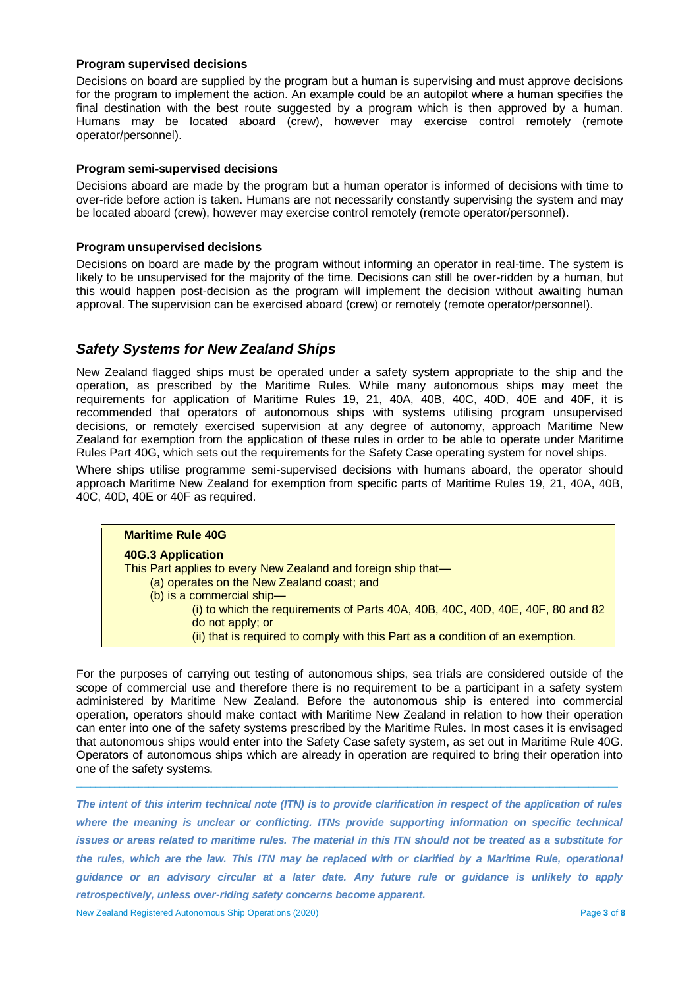#### **Program supervised decisions**

Decisions on board are supplied by the program but a human is supervising and must approve decisions for the program to implement the action. An example could be an autopilot where a human specifies the final destination with the best route suggested by a program which is then approved by a human. Humans may be located aboard (crew), however may exercise control remotely (remote operator/personnel).

#### **Program semi-supervised decisions**

Decisions aboard are made by the program but a human operator is informed of decisions with time to over-ride before action is taken. Humans are not necessarily constantly supervising the system and may be located aboard (crew), however may exercise control remotely (remote operator/personnel).

#### **Program unsupervised decisions**

Decisions on board are made by the program without informing an operator in real-time. The system is likely to be unsupervised for the majority of the time. Decisions can still be over-ridden by a human, but this would happen post-decision as the program will implement the decision without awaiting human approval. The supervision can be exercised aboard (crew) or remotely (remote operator/personnel).

## *Safety Systems for New Zealand Ships*

New Zealand flagged ships must be operated under a safety system appropriate to the ship and the operation, as prescribed by the Maritime Rules. While many autonomous ships may meet the requirements for application of Maritime Rules 19, 21, 40A, 40B, 40C, 40D, 40E and 40F, it is recommended that operators of autonomous ships with systems utilising program unsupervised decisions, or remotely exercised supervision at any degree of autonomy, approach Maritime New Zealand for exemption from the application of these rules in order to be able to operate under Maritime Rules Part 40G, which sets out the requirements for the Safety Case operating system for novel ships.

Where ships utilise programme semi-supervised decisions with humans aboard, the operator should approach Maritime New Zealand for exemption from specific parts of Maritime Rules 19, 21, 40A, 40B, 40C, 40D, 40E or 40F as required.



For the purposes of carrying out testing of autonomous ships, sea trials are considered outside of the scope of commercial use and therefore there is no requirement to be a participant in a safety system administered by Maritime New Zealand. Before the autonomous ship is entered into commercial operation, operators should make contact with Maritime New Zealand in relation to how their operation can enter into one of the safety systems prescribed by the Maritime Rules. In most cases it is envisaged that autonomous ships would enter into the Safety Case safety system, as set out in Maritime Rule 40G. Operators of autonomous ships which are already in operation are required to bring their operation into one of the safety systems.

 $\_$  ,  $\_$  ,  $\_$  ,  $\_$  ,  $\_$  ,  $\_$  ,  $\_$  ,  $\_$  ,  $\_$  ,  $\_$  ,  $\_$  ,  $\_$  ,  $\_$  ,  $\_$  ,  $\_$  ,  $\_$  ,  $\_$  ,  $\_$  ,  $\_$  ,  $\_$  ,  $\_$  ,  $\_$  ,  $\_$  ,  $\_$  ,  $\_$  ,  $\_$  ,  $\_$  ,  $\_$  ,  $\_$  ,  $\_$  ,  $\_$  ,  $\_$  ,  $\_$  ,  $\_$  ,  $\_$  ,  $\_$  ,  $\_$  ,

*The intent of this interim technical note (ITN) is to provide clarification in respect of the application of rules where the meaning is unclear or conflicting. ITNs provide supporting information on specific technical issues or areas related to maritime rules. The material in this ITN should not be treated as a substitute for the rules, which are the law. This ITN may be replaced with or clarified by a Maritime Rule, operational guidance or an advisory circular at a later date. Any future rule or guidance is unlikely to apply retrospectively, unless over-riding safety concerns become apparent.* New Zealand Registered Autonomous Ship Operations (2020) Page **3** of **8**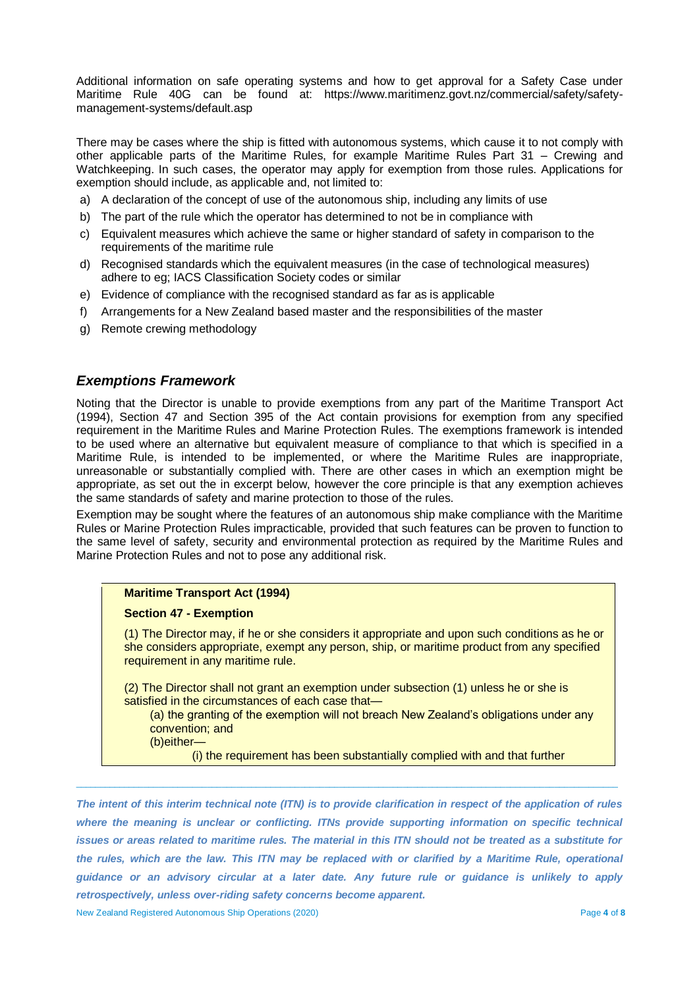Additional information on safe operating systems and how to get approval for a Safety Case under Maritime Rule 40G can be found at: [https://www.maritimenz.govt.nz/commercial/safety/safety](https://www.maritimenz.govt.nz/commercial/safety/safety-management-systems/default.asp)[management-systems/default.asp](https://www.maritimenz.govt.nz/commercial/safety/safety-management-systems/default.asp)

There may be cases where the ship is fitted with autonomous systems, which cause it to not comply with other applicable parts of the Maritime Rules, for example Maritime Rules Part 31 – Crewing and Watchkeeping. In such cases, the operator may apply for exemption from those rules. Applications for exemption should include, as applicable and, not limited to:

- a) A declaration of the concept of use of the autonomous ship, including any limits of use
- b) The part of the rule which the operator has determined to not be in compliance with
- c) Equivalent measures which achieve the same or higher standard of safety in comparison to the requirements of the maritime rule
- d) Recognised standards which the equivalent measures (in the case of technological measures) adhere to eg; IACS Classification Society codes or similar
- e) Evidence of compliance with the recognised standard as far as is applicable
- f) Arrangements for a New Zealand based master and the responsibilities of the master
- g) Remote crewing methodology

## *Exemptions Framework*

Noting that the Director is unable to provide exemptions from any part of the Maritime Transport Act (1994), Section 47 and Section 395 of the Act contain provisions for exemption from any specified requirement in the Maritime Rules and Marine Protection Rules. The exemptions framework is intended to be used where an alternative but equivalent measure of compliance to that which is specified in a Maritime Rule, is intended to be implemented, or where the Maritime Rules are inappropriate, unreasonable or substantially complied with. There are other cases in which an exemption might be appropriate, as set out the in excerpt below, however the core principle is that any exemption achieves the same standards of safety and marine protection to those of the rules.

Exemption may be sought where the features of an autonomous ship make compliance with the Maritime Rules or Marine Protection Rules impracticable, provided that such features can be proven to function to the same level of safety, security and environmental protection as required by the Maritime Rules and Marine Protection Rules and not to pose any additional risk.

#### **Maritime Transport Act (1994)**

#### **Section 47 - Exemption**

(1) The Director may, if he or she considers it appropriate and upon such conditions as he or she considers appropriate, exempt any person, ship, or maritime product from any specified requirement in any maritime rule.

(2) The Director shall not grant an exemption under subsection (1) unless he or she is satisfied in the circumstances of each case that—

(a) the granting of the exemption will not breach New Zealand's obligations under any convention; and

(b)either—

(i) the requirement has been substantially complied with and that further

*The intent of this interim technical note (ITN) is to provide clarification in respect of the application of rules where the meaning is unclear or conflicting. ITNs provide supporting information on specific technical issues or areas related to maritime rules. The material in this ITN should not be treated as a substitute for the rules, which are the law. This ITN may be replaced with or clarified by a Maritime Rule, operational guidance or an advisory circular at a later date. Any future rule or guidance is unlikely to apply retrospectively, unless over-riding safety concerns become apparent.*

 $\_$  ,  $\_$  ,  $\_$  ,  $\_$  ,  $\_$  ,  $\_$  ,  $\_$  ,  $\_$  ,  $\_$  ,  $\_$  ,  $\_$  ,  $\_$  ,  $\_$  ,  $\_$  ,  $\_$  ,  $\_$  ,  $\_$  ,  $\_$  ,  $\_$  ,  $\_$  ,  $\_$  ,  $\_$  ,  $\_$  ,  $\_$  ,  $\_$  ,  $\_$  ,  $\_$  ,  $\_$  ,  $\_$  ,  $\_$  ,  $\_$  ,  $\_$  ,  $\_$  ,  $\_$  ,  $\_$  ,  $\_$  ,  $\_$  ,

New Zealand Registered Autonomous Ship Operations (2020) Page **4** of **8**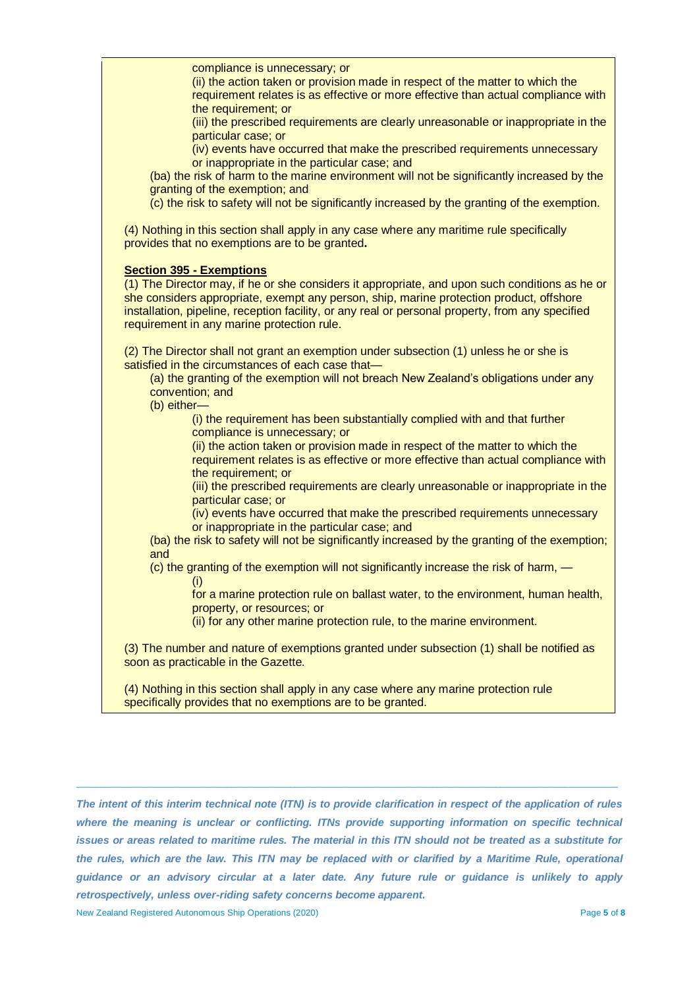| compliance is unnecessary; or<br>(ii) the action taken or provision made in respect of the matter to which the<br>requirement relates is as effective or more effective than actual compliance with<br>the requirement; or<br>(iii) the prescribed requirements are clearly unreasonable or inappropriate in the<br>particular case; or<br>(iv) events have occurred that make the prescribed requirements unnecessary<br>or inappropriate in the particular case; and<br>(ba) the risk of harm to the marine environment will not be significantly increased by the<br>granting of the exemption; and<br>(c) the risk to safety will not be significantly increased by the granting of the exemption. |
|--------------------------------------------------------------------------------------------------------------------------------------------------------------------------------------------------------------------------------------------------------------------------------------------------------------------------------------------------------------------------------------------------------------------------------------------------------------------------------------------------------------------------------------------------------------------------------------------------------------------------------------------------------------------------------------------------------|
| (4) Nothing in this section shall apply in any case where any maritime rule specifically<br>provides that no exemptions are to be granted.                                                                                                                                                                                                                                                                                                                                                                                                                                                                                                                                                             |
| <b>Section 395 - Exemptions</b><br>(1) The Director may, if he or she considers it appropriate, and upon such conditions as he or<br>she considers appropriate, exempt any person, ship, marine protection product, offshore<br>installation, pipeline, reception facility, or any real or personal property, from any specified<br>requirement in any marine protection rule.                                                                                                                                                                                                                                                                                                                         |
| (2) The Director shall not grant an exemption under subsection (1) unless he or she is<br>satisfied in the circumstances of each case that-<br>(a) the granting of the exemption will not breach New Zealand's obligations under any<br>convention; and<br>(b) either-                                                                                                                                                                                                                                                                                                                                                                                                                                 |
| (i) the requirement has been substantially complied with and that further<br>compliance is unnecessary; or<br>(ii) the action taken or provision made in respect of the matter to which the<br>requirement relates is as effective or more effective than actual compliance with<br>the requirement; or                                                                                                                                                                                                                                                                                                                                                                                                |
| (iii) the prescribed requirements are clearly unreasonable or inappropriate in the<br>particular case; or<br>(iv) events have occurred that make the prescribed requirements unnecessary                                                                                                                                                                                                                                                                                                                                                                                                                                                                                                               |
| or inappropriate in the particular case; and<br>(ba) the risk to safety will not be significantly increased by the granting of the exemption;<br>and<br>(c) the granting of the exemption will not significantly increase the risk of harm, -                                                                                                                                                                                                                                                                                                                                                                                                                                                          |
| (i)<br>for a marine protection rule on ballast water, to the environment, human health,<br>property, or resources; or                                                                                                                                                                                                                                                                                                                                                                                                                                                                                                                                                                                  |
| (ii) for any other marine protection rule, to the marine environment.<br>(3) The number and nature of exemptions granted under subsection (1) shall be notified as                                                                                                                                                                                                                                                                                                                                                                                                                                                                                                                                     |
| soon as practicable in the Gazette.                                                                                                                                                                                                                                                                                                                                                                                                                                                                                                                                                                                                                                                                    |
| (4) Nothing in this section shall apply in any case where any marine protection rule<br>specifically provides that no exemptions are to be granted.                                                                                                                                                                                                                                                                                                                                                                                                                                                                                                                                                    |

*The intent of this interim technical note (ITN) is to provide clarification in respect of the application of rules where the meaning is unclear or conflicting. ITNs provide supporting information on specific technical issues or areas related to maritime rules. The material in this ITN should not be treated as a substitute for the rules, which are the law. This ITN may be replaced with or clarified by a Maritime Rule, operational guidance or an advisory circular at a later date. Any future rule or guidance is unlikely to apply retrospectively, unless over-riding safety concerns become apparent.*

 $\_$  ,  $\_$  ,  $\_$  ,  $\_$  ,  $\_$  ,  $\_$  ,  $\_$  ,  $\_$  ,  $\_$  ,  $\_$  ,  $\_$  ,  $\_$  ,  $\_$  ,  $\_$  ,  $\_$  ,  $\_$  ,  $\_$  ,  $\_$  ,  $\_$  ,  $\_$  ,  $\_$  ,  $\_$  ,  $\_$  ,  $\_$  ,  $\_$  ,  $\_$  ,  $\_$  ,  $\_$  ,  $\_$  ,  $\_$  ,  $\_$  ,  $\_$  ,  $\_$  ,  $\_$  ,  $\_$  ,  $\_$  ,  $\_$  ,

New Zealand Registered Autonomous Ship Operations (2020) Page **5** of **8**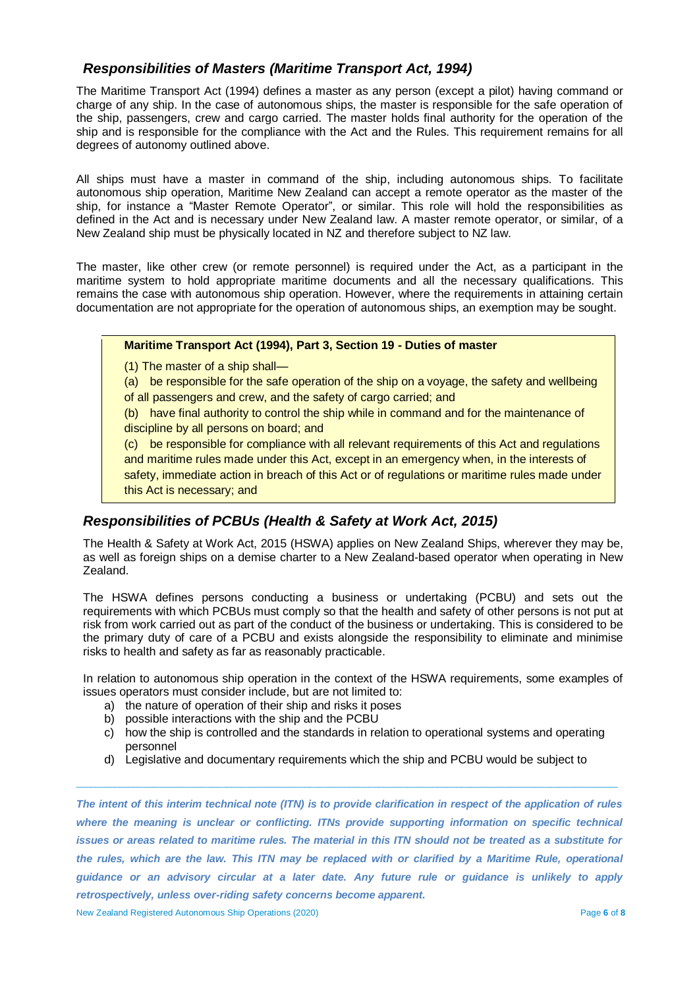# *Responsibilities of Masters (Maritime Transport Act, 1994)*

The Maritime Transport Act (1994) defines a master as any person (except a pilot) having command or charge of any ship. In the case of autonomous ships, the master is responsible for the safe operation of the ship, passengers, crew and cargo carried. The master holds final authority for the operation of the ship and is responsible for the compliance with the Act and the Rules. This requirement remains for all degrees of autonomy outlined above.

All ships must have a master in command of the ship, including autonomous ships. To facilitate autonomous ship operation, Maritime New Zealand can accept a remote operator as the master of the ship, for instance a "Master Remote Operator", or similar. This role will hold the responsibilities as defined in the Act and is necessary under New Zealand law. A master remote operator, or similar, of a New Zealand ship must be physically located in NZ and therefore subject to NZ law.

The master, like other crew (or remote personnel) is required under the Act, as a participant in the maritime system to hold appropriate maritime documents and all the necessary qualifications. This remains the case with autonomous ship operation. However, where the requirements in attaining certain documentation are not appropriate for the operation of autonomous ships, an exemption may be sought.

#### **Maritime Transport Act (1994), Part 3, Section 19 - Duties of master**

- (1) The master of a ship shall—
- (a) be responsible for the safe operation of the ship on a voyage, the safety and wellbeing of all passengers and crew, and the safety of cargo carried; and

(b) have final authority to control the ship while in command and for the maintenance of discipline by all persons on board; and

(c) be responsible for compliance with all relevant requirements of this Act and regulations and maritime rules made under this Act, except in an emergency when, in the interests of safety, immediate action in breach of this Act or of regulations or maritime rules made under this Act is necessary; and

# *Responsibilities of PCBUs (Health & Safety at Work Act, 2015)*

The Health & Safety at Work Act, 2015 (HSWA) applies on New Zealand Ships, wherever they may be, as well as foreign ships on a demise charter to a New Zealand-based operator when operating in New Zealand.

The HSWA defines persons conducting a business or undertaking (PCBU) and sets out the requirements with which PCBUs must comply so that the health and safety of other persons is not put at risk from work carried out as part of the conduct of the business or undertaking. This is considered to be the primary duty of care of a PCBU and exists alongside the responsibility to eliminate and minimise risks to health and safety as far as reasonably practicable.

In relation to autonomous ship operation in the context of the HSWA requirements, some examples of issues operators must consider include, but are not limited to:

- a) the nature of operation of their ship and risks it poses
- b) possible interactions with the ship and the PCBU
- c) how the ship is controlled and the standards in relation to operational systems and operating personnel
- d) Legislative and documentary requirements which the ship and PCBU would be subject to

 $\_$  ,  $\_$  ,  $\_$  ,  $\_$  ,  $\_$  ,  $\_$  ,  $\_$  ,  $\_$  ,  $\_$  ,  $\_$  ,  $\_$  ,  $\_$  ,  $\_$  ,  $\_$  ,  $\_$  ,  $\_$  ,  $\_$  ,  $\_$  ,  $\_$  ,  $\_$  ,  $\_$  ,  $\_$  ,  $\_$  ,  $\_$  ,  $\_$  ,  $\_$  ,  $\_$  ,  $\_$  ,  $\_$  ,  $\_$  ,  $\_$  ,  $\_$  ,  $\_$  ,  $\_$  ,  $\_$  ,  $\_$  ,  $\_$  ,

*The intent of this interim technical note (ITN) is to provide clarification in respect of the application of rules where the meaning is unclear or conflicting. ITNs provide supporting information on specific technical issues or areas related to maritime rules. The material in this ITN should not be treated as a substitute for the rules, which are the law. This ITN may be replaced with or clarified by a Maritime Rule, operational guidance or an advisory circular at a later date. Any future rule or guidance is unlikely to apply retrospectively, unless over-riding safety concerns become apparent.*

New Zealand Registered Autonomous Ship Operations (2020) Page **6** of **8**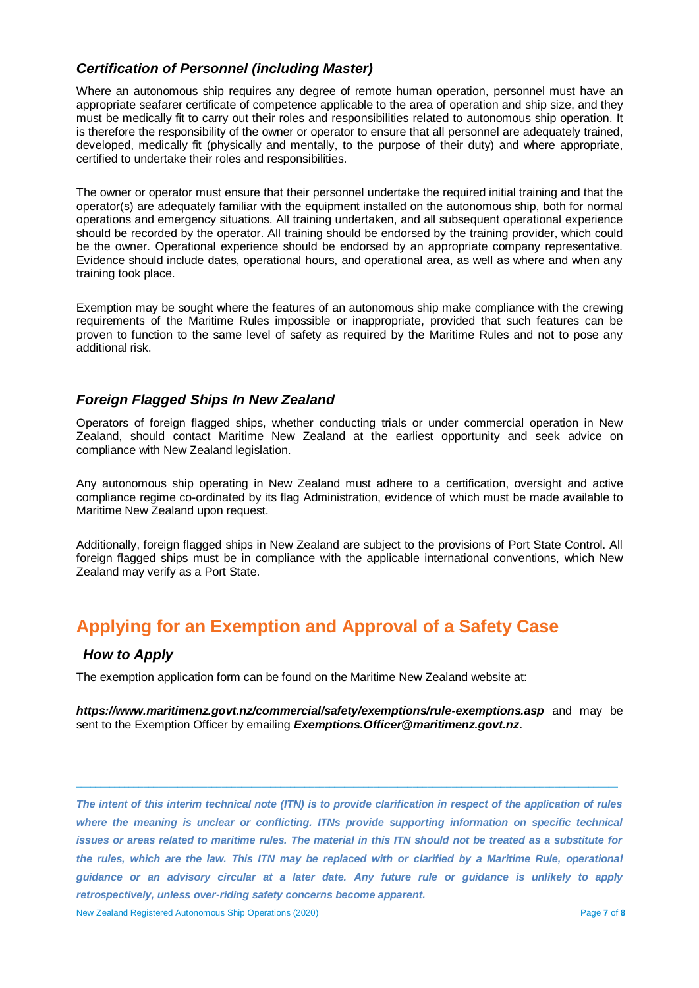# *Certification of Personnel (including Master)*

Where an autonomous ship requires any degree of remote human operation, personnel must have an appropriate seafarer certificate of competence applicable to the area of operation and ship size, and they must be medically fit to carry out their roles and responsibilities related to autonomous ship operation. It is therefore the responsibility of the owner or operator to ensure that all personnel are adequately trained, developed, medically fit (physically and mentally, to the purpose of their duty) and where appropriate, certified to undertake their roles and responsibilities.

The owner or operator must ensure that their personnel undertake the required initial training and that the operator(s) are adequately familiar with the equipment installed on the autonomous ship, both for normal operations and emergency situations. All training undertaken, and all subsequent operational experience should be recorded by the operator. All training should be endorsed by the training provider, which could be the owner. Operational experience should be endorsed by an appropriate company representative. Evidence should include dates, operational hours, and operational area, as well as where and when any training took place.

Exemption may be sought where the features of an autonomous ship make compliance with the crewing requirements of the Maritime Rules impossible or inappropriate, provided that such features can be proven to function to the same level of safety as required by the Maritime Rules and not to pose any additional risk.

# *Foreign Flagged Ships In New Zealand*

Operators of foreign flagged ships, whether conducting trials or under commercial operation in New Zealand, should contact Maritime New Zealand at the earliest opportunity and seek advice on compliance with New Zealand legislation.

Any autonomous ship operating in New Zealand must adhere to a certification, oversight and active compliance regime co-ordinated by its flag Administration, evidence of which must be made available to Maritime New Zealand upon request.

Additionally, foreign flagged ships in New Zealand are subject to the provisions of Port State Control. All foreign flagged ships must be in compliance with the applicable international conventions, which New Zealand may verify as a Port State.

# **Applying for an Exemption and Approval of a Safety Case**

# *How to Apply*

The exemption application form can be found on the Maritime New Zealand website at:

*<https://www.maritimenz.govt.nz/commercial/safety/exemptions/rule-exemptions.asp>* and may be sent to the Exemption Officer by emailing *[Exemptions.Officer@maritimenz.govt.nz](mailto:Exemptions.Officer@maritimenz.govt.nz)*.

 $\_$  ,  $\_$  ,  $\_$  ,  $\_$  ,  $\_$  ,  $\_$  ,  $\_$  ,  $\_$  ,  $\_$  ,  $\_$  ,  $\_$  ,  $\_$  ,  $\_$  ,  $\_$  ,  $\_$  ,  $\_$  ,  $\_$  ,  $\_$  ,  $\_$  ,  $\_$  ,  $\_$  ,  $\_$  ,  $\_$  ,  $\_$  ,  $\_$  ,  $\_$  ,  $\_$  ,  $\_$  ,  $\_$  ,  $\_$  ,  $\_$  ,  $\_$  ,  $\_$  ,  $\_$  ,  $\_$  ,  $\_$  ,  $\_$  ,

*The intent of this interim technical note (ITN) is to provide clarification in respect of the application of rules where the meaning is unclear or conflicting. ITNs provide supporting information on specific technical issues or areas related to maritime rules. The material in this ITN should not be treated as a substitute for the rules, which are the law. This ITN may be replaced with or clarified by a Maritime Rule, operational guidance or an advisory circular at a later date. Any future rule or guidance is unlikely to apply retrospectively, unless over-riding safety concerns become apparent.*

New Zealand Registered Autonomous Ship Operations (2020) Page **7** of **8**